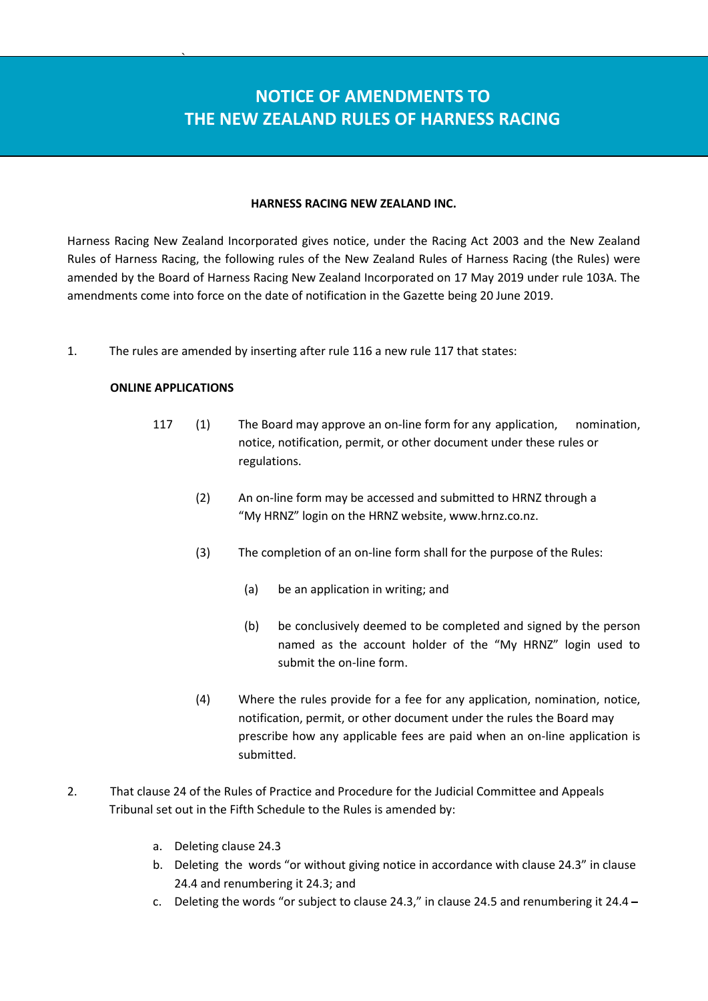## **NOTICE OF AMENDMENTS TO THE NEW ZEALAND RULES OF HARNESS RACING**

## **HARNESS RACING NEW ZEALAND INC.**

Harness Racing New Zealand Incorporated gives notice, under the Racing Act 2003 and the New Zealand Rules of Harness Racing, the following rules of the New Zealand Rules of Harness Racing (the Rules) were amended by the Board of Harness Racing New Zealand Incorporated on 17 May 2019 under rule 103A. The amendments come into force on the date of notification in the Gazette being 20 June 2019.

1. The rules are amended by inserting after rule 116 a new rule 117 that states:

## **ONLINE APPLICATIONS**

 $\sum_{i=1}^n \frac{1}{i!}$ 

- 117 (1) The Board may approve an on-line form for any application, nomination, notice, notification, permit, or other document under these rules or regulations.
	- (2) An on-line form may be accessed and submitted to HRNZ through a "My HRNZ" login on the HRNZ website, www.hrnz.co.nz.
	- (3) The completion of an on-line form shall for the purpose of the Rules:
		- (a) be an application in writing; and
		- (b) be conclusively deemed to be completed and signed by the person named as the account holder of the "My HRNZ" login used to submit the on-line form.
	- (4) Where the rules provide for a fee for any application, nomination, notice, notification, permit, or other document under the rules the Board may prescribe how any applicable fees are paid when an on-line application is submitted.
- 2. That clause 24 of the Rules of Practice and Procedure for the Judicial Committee and Appeals Tribunal set out in the Fifth Schedule to the Rules is amended by:
	- a. Deleting clause 24.3
	- b. Deleting the words "or without giving notice in accordance with clause 24.3" in clause 24.4 and renumbering it 24.3; and
	- c. Deleting the words "or subject to clause 24.3," in clause 24.5 and renumbering it 24.4 **̶**